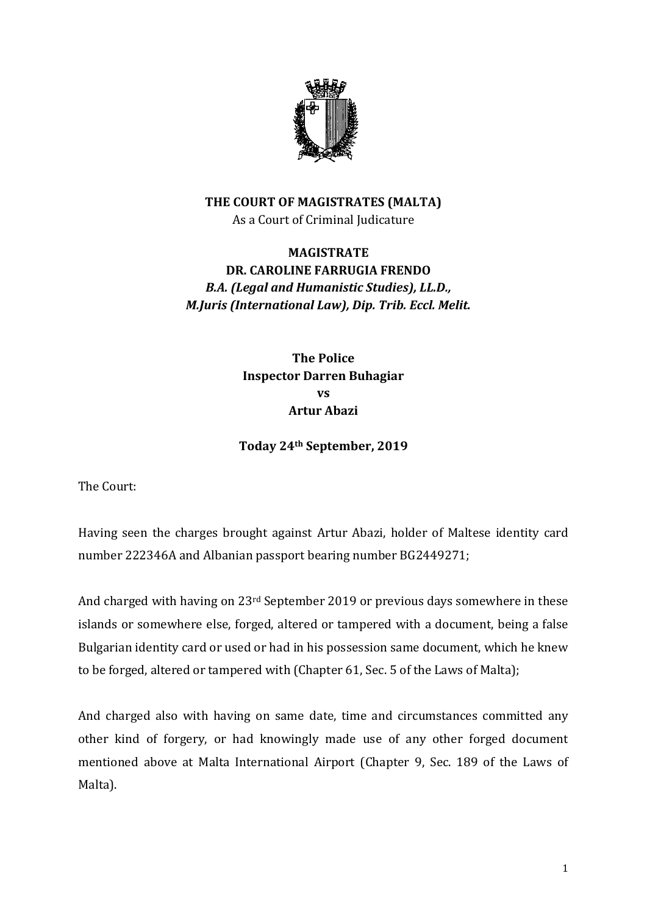

## **THE COURT OF MAGISTRATES (MALTA)** As a Court of Criminal Judicature

## **MAGISTRATE DR. CAROLINE FARRUGIA FRENDO** *B.A. (Legal and Humanistic Studies), LL.D., M.Juris (International Law), Dip. Trib. Eccl. Melit.*

**The Police Inspector Darren Buhagiar vs Artur Abazi**

**Today 24th September, 2019**

The Court:

Having seen the charges brought against Artur Abazi, holder of Maltese identity card number 222346A and Albanian passport bearing number BG2449271;

And charged with having on 23rd September 2019 or previous days somewhere in these islands or somewhere else, forged, altered or tampered with a document, being a false Bulgarian identity card or used or had in his possession same document, which he knew to be forged, altered or tampered with (Chapter 61, Sec. 5 of the Laws of Malta);

And charged also with having on same date, time and circumstances committed any other kind of forgery, or had knowingly made use of any other forged document mentioned above at Malta International Airport (Chapter 9, Sec. 189 of the Laws of Malta).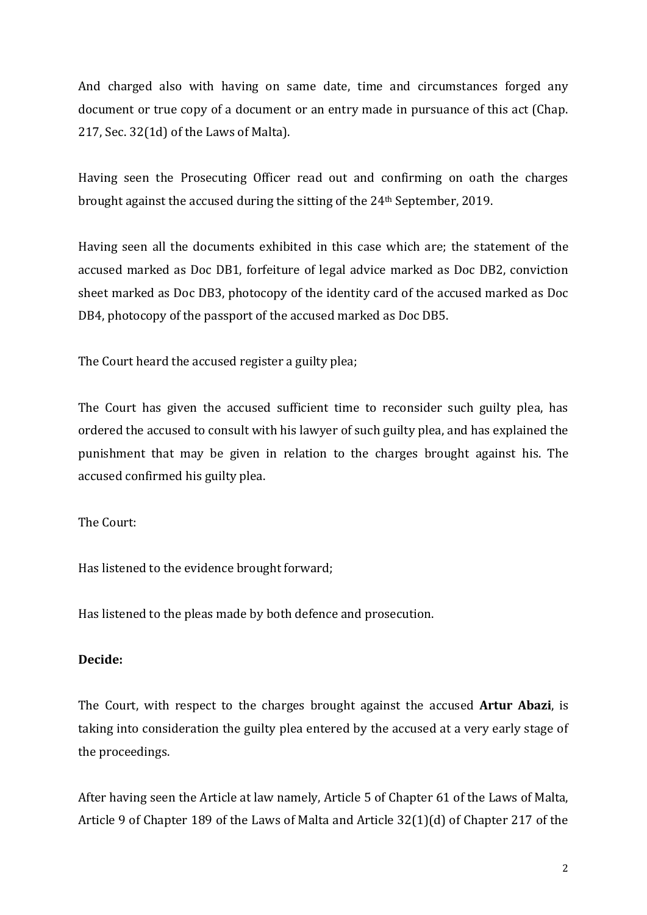And charged also with having on same date, time and circumstances forged any document or true copy of a document or an entry made in pursuance of this act (Chap. 217, Sec. 32(1d) of the Laws of Malta).

Having seen the Prosecuting Officer read out and confirming on oath the charges brought against the accused during the sitting of the 24th September, 2019.

Having seen all the documents exhibited in this case which are; the statement of the accused marked as Doc DB1, forfeiture of legal advice marked as Doc DB2, conviction sheet marked as Doc DB3, photocopy of the identity card of the accused marked as Doc DB4, photocopy of the passport of the accused marked as Doc DB5.

The Court heard the accused register a guilty plea;

The Court has given the accused sufficient time to reconsider such guilty plea, has ordered the accused to consult with his lawyer of such guilty plea, and has explained the punishment that may be given in relation to the charges brought against his. The accused confirmed his guilty plea.

## The Court:

Has listened to the evidence brought forward;

Has listened to the pleas made by both defence and prosecution.

## **Decide:**

The Court, with respect to the charges brought against the accused **Artur Abazi**, is taking into consideration the guilty plea entered by the accused at a very early stage of the proceedings.

After having seen the Article at law namely, Article 5 of Chapter 61 of the Laws of Malta, Article 9 of Chapter 189 of the Laws of Malta and Article 32(1)(d) of Chapter 217 of the